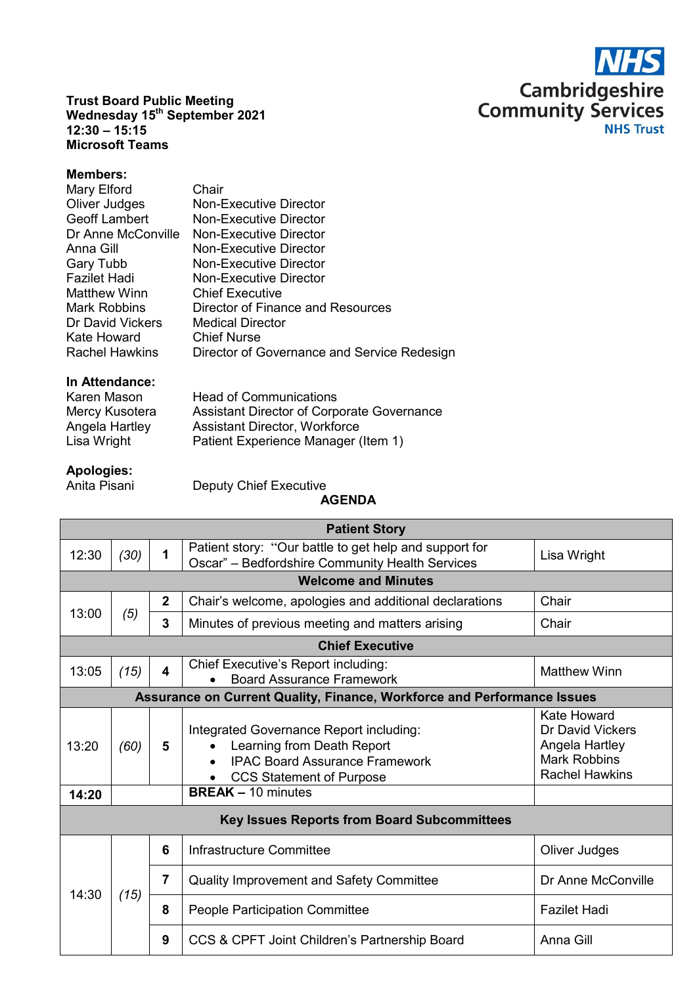

**Trust Board Public Meeting Wednesday 15th September 2021 12:30 – 15:15 Microsoft Teams**

## **Members:**

| Mary Elford           | Chair                                       |
|-----------------------|---------------------------------------------|
| Oliver Judges         | <b>Non-Executive Director</b>               |
| <b>Geoff Lambert</b>  | Non-Executive Director                      |
| Dr Anne McConville    | Non-Executive Director                      |
| Anna Gill             | <b>Non-Executive Director</b>               |
| <b>Gary Tubb</b>      | <b>Non-Executive Director</b>               |
| <b>Fazilet Hadi</b>   | Non-Executive Director                      |
| <b>Matthew Winn</b>   | <b>Chief Executive</b>                      |
| <b>Mark Robbins</b>   | Director of Finance and Resources           |
| Dr David Vickers      | <b>Medical Director</b>                     |
| Kate Howard           | <b>Chief Nurse</b>                          |
| <b>Rachel Hawkins</b> | Director of Governance and Service Redesign |

## **In Attendance:**

| <b>Head of Communications</b>              |
|--------------------------------------------|
| Assistant Director of Corporate Governance |
| <b>Assistant Director, Workforce</b>       |
| Patient Experience Manager (Item 1)        |
|                                            |

## **Apologies:**

Deputy Chief Executive

## **AGENDA**

| <b>Patient Story</b>                                                    |                           |              |                                                                                                                                                   |                                                                                                   |  |  |  |
|-------------------------------------------------------------------------|---------------------------|--------------|---------------------------------------------------------------------------------------------------------------------------------------------------|---------------------------------------------------------------------------------------------------|--|--|--|
| 12:30                                                                   | (30)                      | 1            | Patient story: "Our battle to get help and support for<br>Oscar" - Bedfordshire Community Health Services                                         | Lisa Wright                                                                                       |  |  |  |
| <b>Welcome and Minutes</b>                                              |                           |              |                                                                                                                                                   |                                                                                                   |  |  |  |
|                                                                         |                           | $\mathbf{2}$ | Chair's welcome, apologies and additional declarations                                                                                            | Chair                                                                                             |  |  |  |
| 13:00                                                                   | (5)                       | 3            | Minutes of previous meeting and matters arising                                                                                                   | Chair                                                                                             |  |  |  |
| <b>Chief Executive</b>                                                  |                           |              |                                                                                                                                                   |                                                                                                   |  |  |  |
| 13:05                                                                   | (15)                      | 4            | Chief Executive's Report including:<br><b>Board Assurance Framework</b>                                                                           | <b>Matthew Winn</b>                                                                               |  |  |  |
| Assurance on Current Quality, Finance, Workforce and Performance Issues |                           |              |                                                                                                                                                   |                                                                                                   |  |  |  |
| 13:20                                                                   | (60)                      | 5            | Integrated Governance Report including:<br>Learning from Death Report<br><b>IPAC Board Assurance Framework</b><br><b>CCS Statement of Purpose</b> | Kate Howard<br>Dr David Vickers<br>Angela Hartley<br><b>Mark Robbins</b><br><b>Rachel Hawkins</b> |  |  |  |
| 14:20                                                                   | <b>BREAK - 10 minutes</b> |              |                                                                                                                                                   |                                                                                                   |  |  |  |
| <b>Key Issues Reports from Board Subcommittees</b>                      |                           |              |                                                                                                                                                   |                                                                                                   |  |  |  |
| 14:30                                                                   | (15)                      | 6            | Infrastructure Committee                                                                                                                          | Oliver Judges                                                                                     |  |  |  |
|                                                                         |                           | 7            | <b>Quality Improvement and Safety Committee</b>                                                                                                   | Dr Anne McConville                                                                                |  |  |  |
|                                                                         |                           | 8            | <b>People Participation Committee</b>                                                                                                             | <b>Fazilet Hadi</b>                                                                               |  |  |  |
|                                                                         |                           | 9            | CCS & CPFT Joint Children's Partnership Board                                                                                                     | Anna Gill                                                                                         |  |  |  |